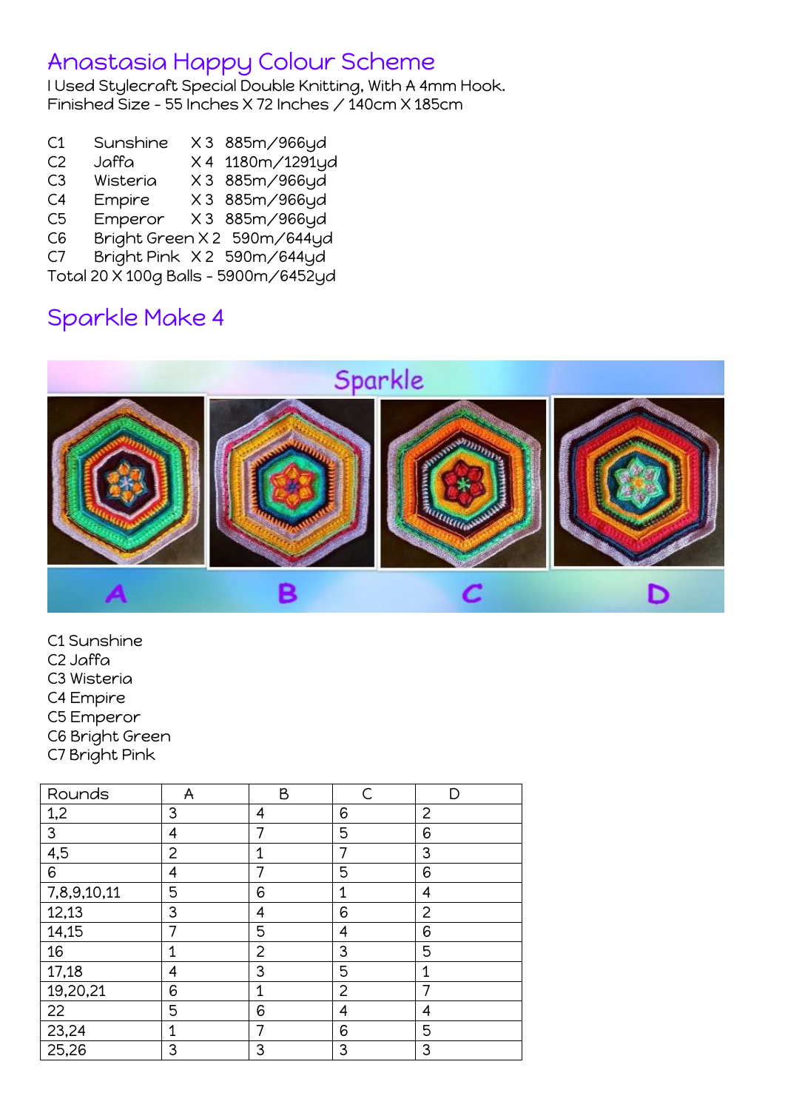#### Anastasia Happy Colour Scheme

I Used Stylecraft Special Double Knitting, With A 4mm Hook. Finished Size – 55 Inches X 72 Inches / 140cm X 185cm

- C1 Sunshine X 3 885m/966yd
- C2 Jaffa X 4 1180m/1291yd
- C3 Wisteria X 3 885m/966yd
- C4 Empire X 3 885m/966yd
- C5 Emperor X 3 885m/966yd
- C6 Bright Green X 2 590m/644yd
- C7 Bright Pink X2 590m/644yd

Total 20 X 100g Balls – 5900m/6452yd

### Sparkle Make 4



- C1 Sunshine
- C2 Jaffa
- C3 Wisteria
- C4 Empire
- C5 Emperor
- C6 Bright Green
- C7 Bright Pink

| Rounds      | A           | B              | $\subset$      | D |
|-------------|-------------|----------------|----------------|---|
| 1,2         | 3           | 4              | 6              | 2 |
| 3           | 4           |                | 5              | 6 |
| 4,5         | 2           | 1              |                | 3 |
| 6           | 4           | $\overline{7}$ | 5              | 6 |
| 7,8,9,10,11 | 5           | 6              | 1              | 4 |
| 12,13       | 3           | 4              | 6              | 2 |
| 14,15       | 7           | 5              | 4              | 6 |
| 16          | $\mathbf 1$ | 2              | 3              | 5 |
| 17,18       | 4           | 3              | 5              | 1 |
| 19,20,21    | 6           | $\mathbf 1$    | $\overline{2}$ |   |
| 22          | 5           | 6              | 4              | 4 |
| 23,24       | 1           | 7              | 6              | 5 |
| 25,26       | 3           | 3              | 3              | 3 |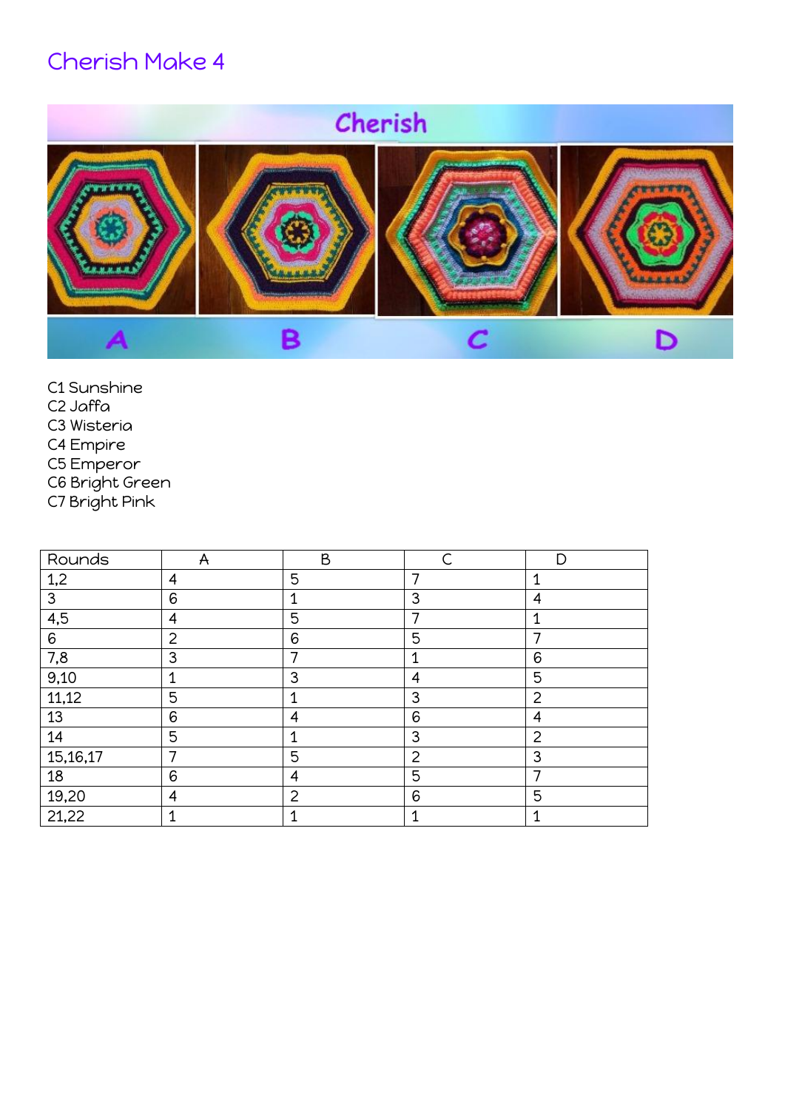# Cherish Make 4

# Cherish



- C1 Sunshine
- C2 Jaffa
- C3 Wisteria
- C4 Empire
- C5 Emperor
- C6 Bright Green
- C7 Bright Pink

| Rounds   | A              | B              |                | D |
|----------|----------------|----------------|----------------|---|
| 1,2      | 4              | 5              | 7              | 1 |
| 3        | 6              | 1              | 3              | 4 |
| 4,5      | 4              | 5              | 7              | 4 |
| 6        | $\overline{2}$ | 6              | 5              |   |
| 7,8      | 3              | ⇁              | 1              | 6 |
| 9,10     | 1              | 3              | 4              | 5 |
| 11,12    | 5              | 1              | $\mathbf{3}$   | 2 |
| 13       | 6              | 4              | 6              | 4 |
| 14       | 5              | 1              | $\mathbf{3}$   | 2 |
| 15,16,17 | 7              | 5              | $\overline{2}$ | 3 |
| 18       | 6              | 4              | 5              | ⇁ |
| 19,20    | 4              | $\overline{2}$ | 6              | 5 |
| 21,22    | 1              |                | 1              | ◢ |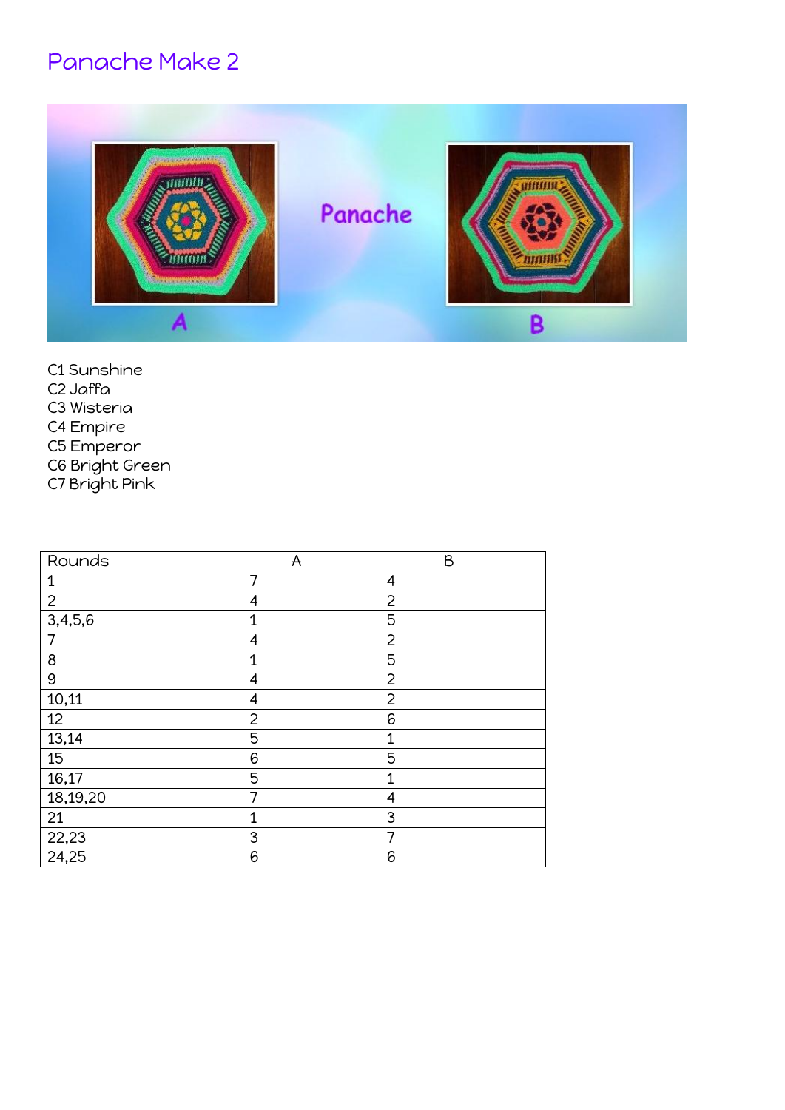## Panache Make 2



- C1 Sunshine
- C2 Jaffa
- C3 Wisteria
- C4 Empire
- C5 Emperor
- C6 Bright Green
- C7 Bright Pink

| Rounds         | A              | B              |
|----------------|----------------|----------------|
| $\mathbf{1}$   | 7              | 4              |
| $\overline{2}$ | 4              | $\overline{2}$ |
| 3,4,5,6        | $\mathbf 1$    | 5              |
| 7              | 4              | $\overline{2}$ |
| $\bf 8$        | $\mathbf 1$    | 5              |
| 9              | 4              | $\overline{2}$ |
| 10,11          | 4              | $\overline{2}$ |
| 12             | $\overline{2}$ | 6              |
| 13,14          | 5              | $\overline{1}$ |
| 15             | 6              | 5              |
| 16,17          | 5              | $\mathbf 1$    |
| 18,19,20       | 7              | 4              |
| 21             | $\overline{1}$ | 3              |
| 22,23          | 3              | 7              |
| 24,25          | 6              | 6              |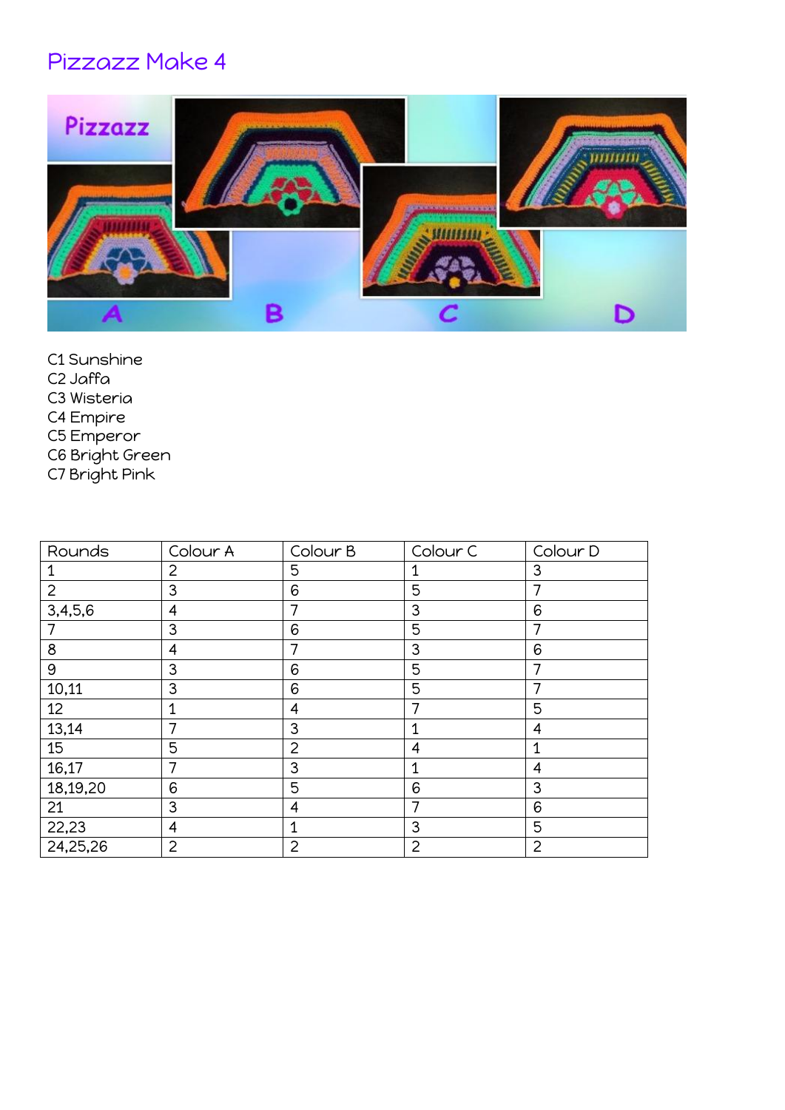## Pizzazz Make 4



- C1 Sunshine
- C2 Jaffa
- C3 Wisteria
- C4 Empire
- C5 Emperor
- C6 Bright Green
- C7 Bright Pink

| Rounds          | Colour A       | Colour B | Colour <sub>C</sub> | Colour D       |
|-----------------|----------------|----------|---------------------|----------------|
|                 | 2              | 5        |                     | 3              |
| $\overline{2}$  | 3              | 6        | 5                   |                |
| 3,4,5,6         | 4              | 7        | 3                   | 6              |
|                 | 3              | 6        | 5                   |                |
| 8               | 4              |          | 3                   | 6              |
| 9               | 3              | 6        | 5                   |                |
| 10,11           | 3              | 6        | 5                   |                |
| 12 <sup>°</sup> | 1              | 4        |                     | 5              |
| 13,14           | 7              | 3        | $\mathbf{1}$        | 4              |
| 15              | 5              | 2        | 4                   | 1              |
| 16,17           | 7              | 3        | 1                   | 4              |
| 18,19,20        | 6              | 5        | 6                   | 3              |
| 21              | 3              | 4        | 7                   | 6              |
| 22,23           | 4              |          | 3                   | 5              |
| 24,25,26        | $\overline{2}$ | 2        | $\overline{2}$      | $\overline{2}$ |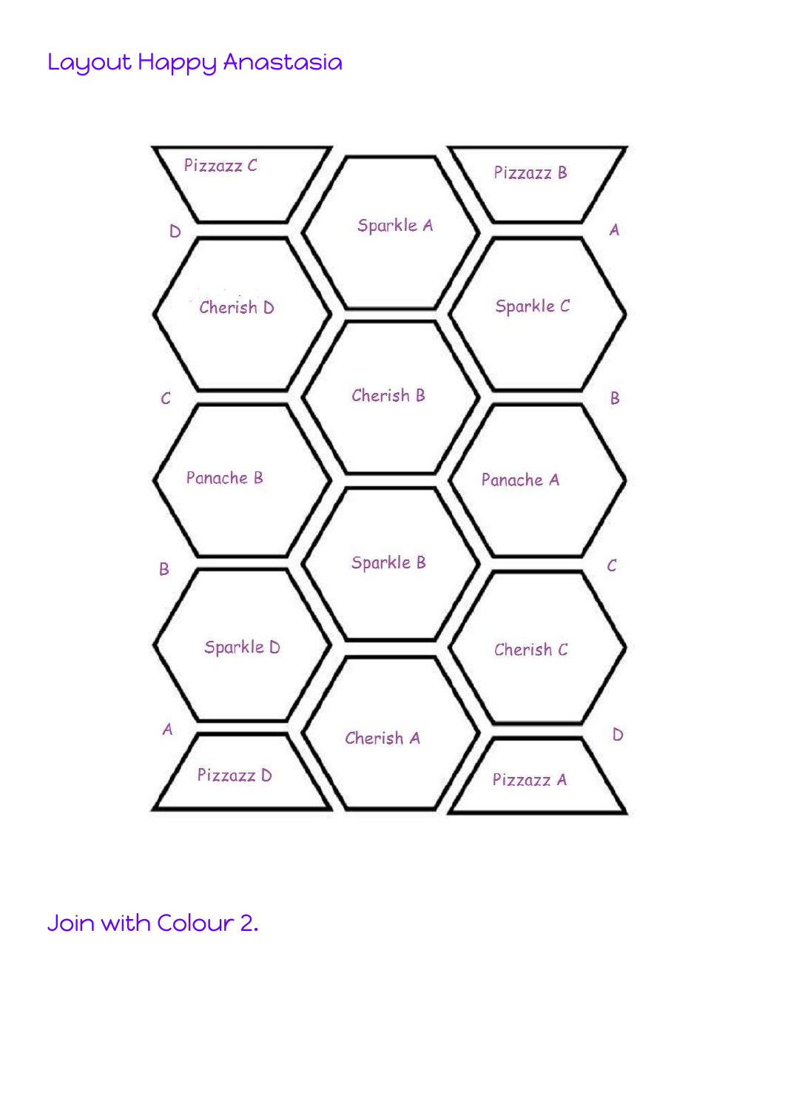#### Layout Happy Anastasia



Join with Colour 2.